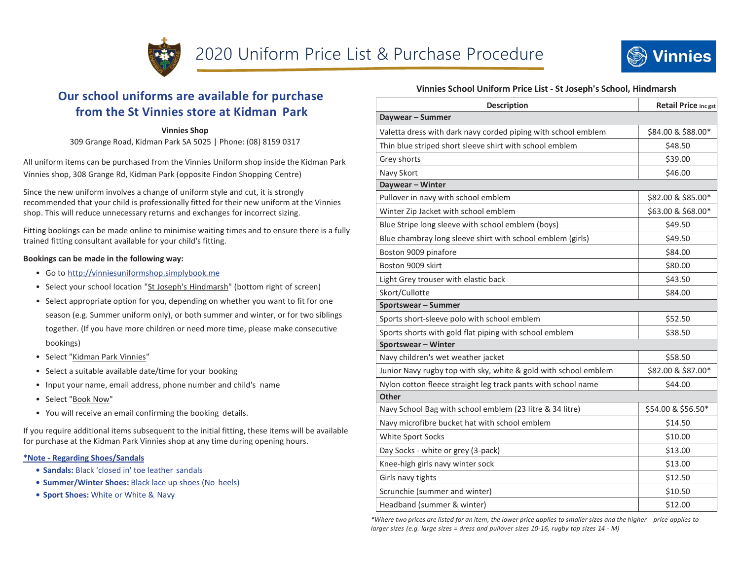



# Our school uniforms are available for purchase from the St Vinnies store at Kidman Park

### Vinnies Shop

309 Grange Road, Kidman Park SA 5025 | Phone: (08) 8159 0317

All uniform items can be purchased from the Vinnies Uniform shop inside the Kidman Park Vinnies shop, 308 Grange Rd, Kidman Park (opposite Findon Shopping Centre)

Since the new uniform involves a change of uniform style and cut, it is strongly recommended that your child is professionally fitted for their new uniform at the Vinnies shop. This will reduce unnecessary returns and exchanges for incorrect sizing.

Fitting bookings can be made online to minimise waiting times and to ensure there is a fully trained fitting consultant available for your child's fitting.

### Bookings can be made in the following way:

- Go to http://vinniesuniformshop.simplybook.me
- Select your school location "St Joseph's Hindmarsh" (bottom right of screen)
- Select appropriate option for you, depending on whether you want to fit for one season (e.g. Summer uniform only), or both summer and winter, or for two siblings together. (If you have more children or need more time, please make consecutive bookings)
- Select "Kidman Park Vinnies"
- Select a suitable available date/time for your booking
- Input your name, email address, phone number and child's name
- Select "Book Now"
- You will receive an email confirming the booking details.

If you require additional items subsequent to the initial fitting, these items will be available for purchase at the Kidman Park Vinnies shop at any time during opening hours.

### \*Note - Regarding Shoes/Sandals

- Sandals: Black 'closed in' toe leather sandals
- Summer/Winter Shoes: Black lace up shoes (No heels)
- Sport Shoes: White or White & Navy

## Vinnies School Uniform Price List - St Joseph's School, Hindmarsh

| <b>Description</b>                                              | <b>Retail Price inc gst</b> |
|-----------------------------------------------------------------|-----------------------------|
| Daywear - Summer                                                |                             |
| Valetta dress with dark navy corded piping with school emblem   | \$84.00 & \$88.00*          |
| Thin blue striped short sleeve shirt with school emblem         | \$48.50                     |
| Grey shorts                                                     | \$39.00                     |
| Navy Skort                                                      | \$46.00                     |
| Daywear - Winter                                                |                             |
| Pullover in navy with school emblem                             | \$82.00 & \$85.00*          |
| Winter Zip Jacket with school emblem                            | \$63.00 & \$68.00*          |
| Blue Stripe long sleeve with school emblem (boys)               | \$49.50                     |
| Blue chambray long sleeve shirt with school emblem (girls)      | \$49.50                     |
| Boston 9009 pinafore                                            | \$84.00                     |
| Boston 9009 skirt                                               | \$80.00                     |
| Light Grey trouser with elastic back                            | \$43.50                     |
| Skort/Cullotte                                                  | \$84.00                     |
| Sportswear - Summer                                             |                             |
| Sports short-sleeve polo with school emblem                     | \$52.50                     |
| Sports shorts with gold flat piping with school emblem          | \$38.50                     |
| Sportswear - Winter                                             |                             |
| Navy children's wet weather jacket                              | \$58.50                     |
| Junior Navy rugby top with sky, white & gold with school emblem | \$82.00 & \$87.00*          |
| Nylon cotton fleece straight leg track pants with school name   | \$44.00                     |
| <b>Other</b>                                                    |                             |
| Navy School Bag with school emblem (23 litre & 34 litre)        | \$54.00 & \$56.50*          |
| Navy microfibre bucket hat with school emblem                   | \$14.50                     |
| White Sport Socks                                               | \$10.00                     |
| Day Socks - white or grey (3-pack)                              | \$13.00                     |
| Knee-high girls navy winter sock                                | \$13.00                     |
| Girls navy tights                                               | \$12.50                     |
| Scrunchie (summer and winter)                                   | \$10.50                     |
| Headband (summer & winter)                                      | \$12.00                     |

\*Where two prices are listed for an item, the lower price applies to smaller sizes and the higher price applies to larger sizes (e.g. large sizes = dress and pullover sizes 10-16, rugby top sizes 14 - M)